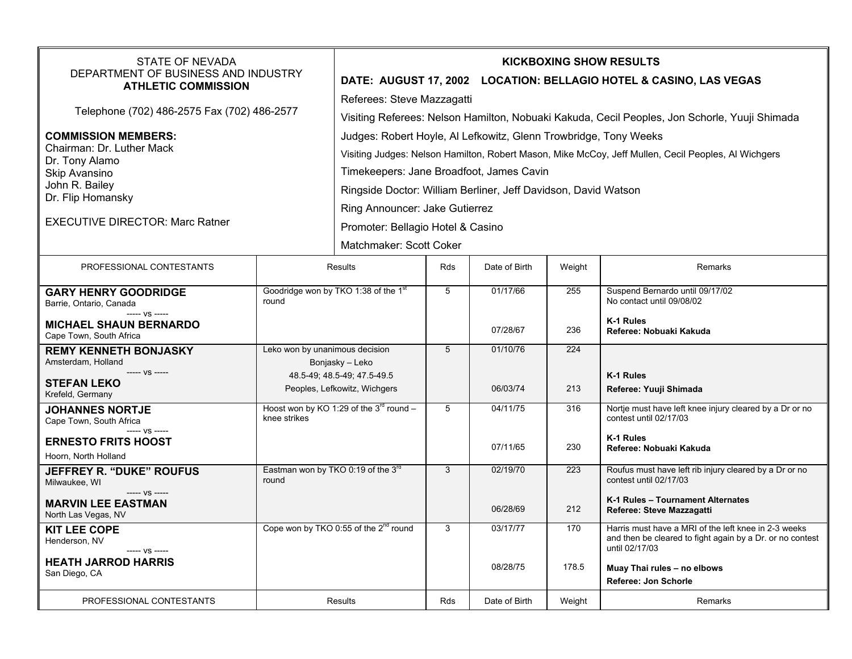| STATE OF NEVADA<br>DEPARTMENT OF BUSINESS AND INDUSTRY<br><b>ATHLETIC COMMISSION</b>                                                                                        |                                                                                                                  | <b>KICKBOXING SHOW RESULTS</b><br>DATE: AUGUST 17, 2002 LOCATION: BELLAGIO HOTEL & CASINO, LAS VEGAS                                                                                                                                                                                                                                                                                    |            |                      |              |                                                                                                                                                                                            |  |
|-----------------------------------------------------------------------------------------------------------------------------------------------------------------------------|------------------------------------------------------------------------------------------------------------------|-----------------------------------------------------------------------------------------------------------------------------------------------------------------------------------------------------------------------------------------------------------------------------------------------------------------------------------------------------------------------------------------|------------|----------------------|--------------|--------------------------------------------------------------------------------------------------------------------------------------------------------------------------------------------|--|
| Telephone (702) 486-2575 Fax (702) 486-2577                                                                                                                                 |                                                                                                                  | Referees: Steve Mazzagatti<br>Visiting Referees: Nelson Hamilton, Nobuaki Kakuda, Cecil Peoples, Jon Schorle, Yuuji Shimada                                                                                                                                                                                                                                                             |            |                      |              |                                                                                                                                                                                            |  |
| <b>COMMISSION MEMBERS:</b><br>Chairman: Dr. Luther Mack<br>Dr. Tony Alamo<br>Skip Avansino<br>John R. Bailey<br>Dr. Flip Homansky<br><b>EXECUTIVE DIRECTOR: Marc Ratner</b> |                                                                                                                  | Judges: Robert Hoyle, AI Lefkowitz, Glenn Trowbridge, Tony Weeks<br>Visiting Judges: Nelson Hamilton, Robert Mason, Mike McCoy, Jeff Mullen, Cecil Peoples, Al Wichgers<br>Timekeepers: Jane Broadfoot, James Cavin<br>Ringside Doctor: William Berliner, Jeff Davidson, David Watson<br>Ring Announcer: Jake Gutierrez<br>Promoter: Bellagio Hotel & Casino<br>Matchmaker: Scott Coker |            |                      |              |                                                                                                                                                                                            |  |
| PROFESSIONAL CONTESTANTS                                                                                                                                                    |                                                                                                                  | Results                                                                                                                                                                                                                                                                                                                                                                                 | Rds        | Date of Birth        | Weight       | Remarks                                                                                                                                                                                    |  |
| <b>GARY HENRY GOODRIDGE</b><br>Barrie, Ontario, Canada<br>$--- VS$ -----<br><b>MICHAEL SHAUN BERNARDO</b><br>Cape Town, South Africa                                        | Goodridge won by TKO 1:38 of the 1 <sup>st</sup><br>round                                                        |                                                                                                                                                                                                                                                                                                                                                                                         | 5          | 01/17/66<br>07/28/67 | 255<br>236   | Suspend Bernardo until 09/17/02<br>No contact until 09/08/02<br>K-1 Rules<br>Referee: Nobuaki Kakuda                                                                                       |  |
| <b>REMY KENNETH BONJASKY</b><br>Amsterdam, Holland<br>----- VS -----<br><b>STEFAN LEKO</b><br>Krefeld, Germany                                                              | Leko won by unanimous decision<br>Bonjasky – Leko<br>48.5-49; 48.5-49; 47.5-49.5<br>Peoples, Lefkowitz, Wichgers |                                                                                                                                                                                                                                                                                                                                                                                         | 5          | 01/10/76<br>06/03/74 | 224<br>213   | K-1 Rules<br>Referee: Yuuji Shimada                                                                                                                                                        |  |
| <b>JOHANNES NORTJE</b><br>Cape Town, South Africa<br>----- VS -----<br><b>ERNESTO FRITS HOOST</b><br>Hoorn. North Holland                                                   | knee strikes                                                                                                     | Hoost won by KO 1:29 of the $3^{rd}$ round -                                                                                                                                                                                                                                                                                                                                            | 5          | 04/11/75<br>07/11/65 | 316<br>230   | Nortje must have left knee injury cleared by a Dr or no<br>contest until 02/17/03<br>K-1 Rules<br>Referee: Nobuaki Kakuda                                                                  |  |
| <b>JEFFREY R. "DUKE" ROUFUS</b><br>Milwaukee, WI<br>----- VS -----<br><b>MARVIN LEE EASTMAN</b><br>North Las Vegas, NV                                                      | Eastman won by TKO 0:19 of the 3rd<br>round                                                                      |                                                                                                                                                                                                                                                                                                                                                                                         | 3          | 02/19/70<br>06/28/69 | 223<br>212   | Roufus must have left rib injury cleared by a Dr or no<br>contest until 02/17/03<br>K-1 Rules - Tournament Alternates<br>Referee: Steve Mazzagatti                                         |  |
| <b>KIT LEE COPE</b><br>Henderson, NV<br>----- VS -----<br><b>HEATH JARROD HARRIS</b><br>San Diego, CA                                                                       |                                                                                                                  | Cope won by TKO 0:55 of the 2 <sup>nd</sup> round                                                                                                                                                                                                                                                                                                                                       | 3          | 03/17/77<br>08/28/75 | 170<br>178.5 | Harris must have a MRI of the left knee in 2-3 weeks<br>and then be cleared to fight again by a Dr. or no contest<br>until 02/17/03<br>Muay Thai rules - no elbows<br>Referee: Jon Schorle |  |
| PROFESSIONAL CONTESTANTS                                                                                                                                                    | <b>Results</b>                                                                                                   |                                                                                                                                                                                                                                                                                                                                                                                         | <b>Rds</b> | Date of Birth        | Weight       | Remarks                                                                                                                                                                                    |  |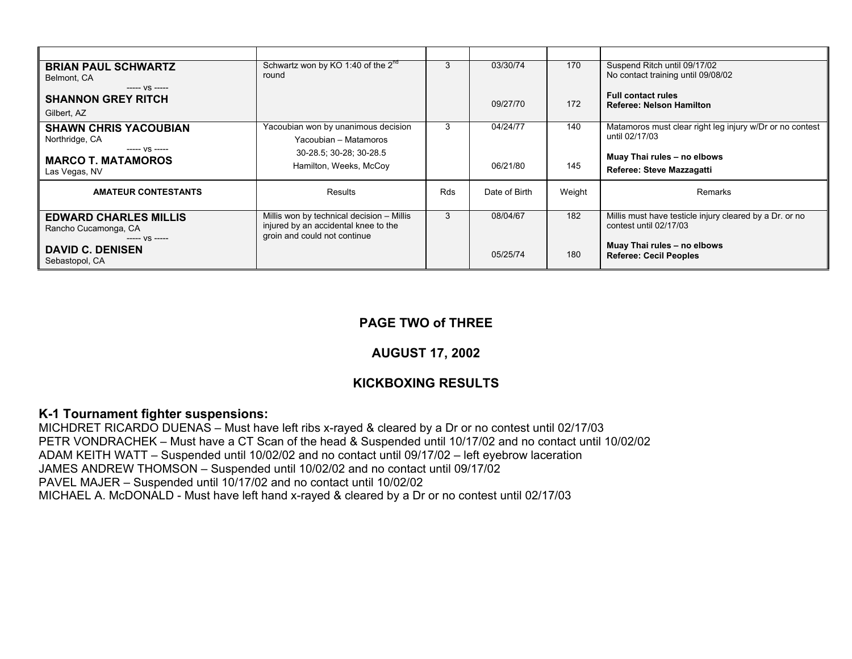| <b>BRIAN PAUL SCHWARTZ</b><br>Belmont, CA<br>$--- VS$ -----             | Schwartz won by KO 1:40 of the $2^{nd}$<br>round                                                                  | 3   | 03/30/74      | 170    | Suspend Ritch until 09/17/02<br>No contact training until 09/08/02                |  |
|-------------------------------------------------------------------------|-------------------------------------------------------------------------------------------------------------------|-----|---------------|--------|-----------------------------------------------------------------------------------|--|
| <b>SHANNON GREY RITCH</b><br>Gilbert, AZ                                |                                                                                                                   |     | 09/27/70      | 172    | <b>Full contact rules</b><br>Referee: Nelson Hamilton                             |  |
| <b>SHAWN CHRIS YACOUBIAN</b><br>Northridge, CA                          | Yacoubian won by unanimous decision<br>Yacoubian - Matamoros                                                      | 3   | 04/24/77      | 140    | Matamoros must clear right leg injury w/Dr or no contest<br>until 02/17/03        |  |
| $--- VS$ -----<br><b>MARCO T. MATAMOROS</b><br>Las Vegas, NV            | 30-28.5; 30-28; 30-28.5<br>Hamilton, Weeks, McCoy                                                                 |     | 06/21/80      | 145    | Muay Thai rules - no elbows<br>Referee: Steve Mazzagatti                          |  |
| <b>AMATEUR CONTESTANTS</b>                                              | Results                                                                                                           | Rds | Date of Birth | Weight | Remarks                                                                           |  |
| <b>EDWARD CHARLES MILLIS</b><br>Rancho Cucamonga, CA<br>$--- V.S$ $---$ | Millis won by technical decision - Millis<br>injured by an accidental knee to the<br>groin and could not continue | 3   | 08/04/67      | 182    | Millis must have testicle injury cleared by a Dr. or no<br>contest until 02/17/03 |  |
| <b>DAVID C. DENISEN</b><br>Sebastopol, CA                               |                                                                                                                   |     | 05/25/74      | 180    | Muay Thai rules - no elbows<br><b>Referee: Cecil Peoples</b>                      |  |

## **PAGE TWO of THREE**

## **AUGUST 17, 2002**

# **KICKBOXING RESULTS**

#### **K-1 Tournament fighter suspensions:**

MICHDRET RICARDO DUENAS – Must have left ribs x-rayed & cleared by a Dr or no contest until 02/17/03 PETR VONDRACHEK – Must have a CT Scan of the head & Suspended until 10/17/02 and no contact until 10/02/02 ADAM KEITH WATT – Suspended until 10/02/02 and no contact until 09/17/02 – left eyebrow laceration JAMES ANDREW THOMSON – Suspended until 10/02/02 and no contact until 09/17/02 PAVEL MAJER – Suspended until 10/17/02 and no contact until 10/02/02 MICHAEL A. McDONALD - Must have left hand x-rayed & cleared by a Dr or no contest until 02/17/03